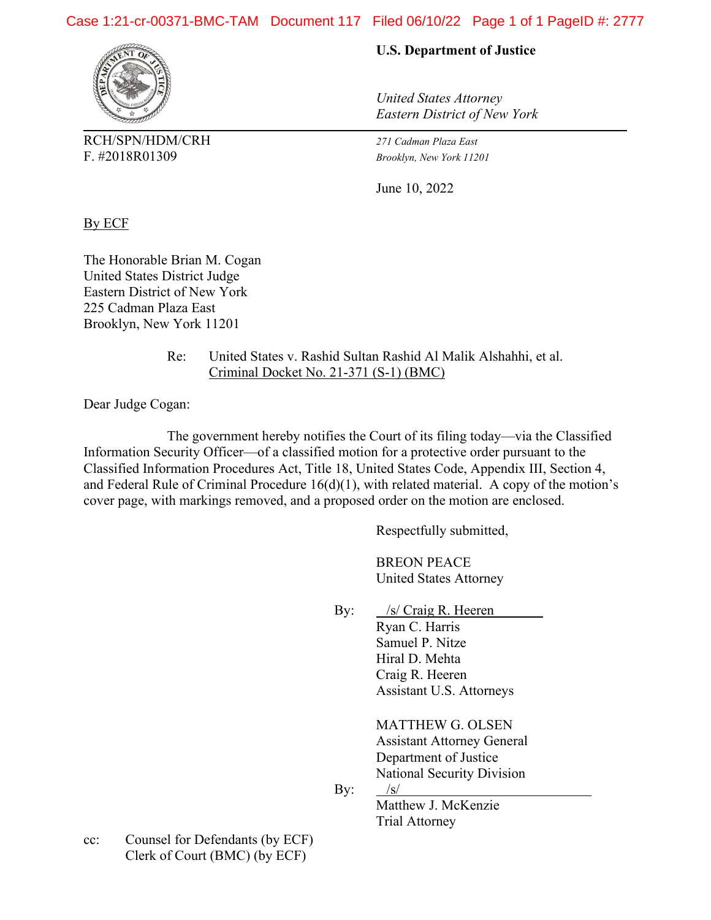# Case 1:21-cr-00371-BMC-TAM Document 117 Filed 06/10/22 Page 1 of 1 PageID #: 2777



RCH/SPN/HDM/CRH *271 Cadman Plaza East* F. #2018R01309 *Brooklyn, New York 11201*

## **U.S. Department of Justice**

*United States Attorney Eastern District of New York*

June 10, 2022

By ECF

The Honorable Brian M. Cogan United States District Judge Eastern District of New York 225 Cadman Plaza East Brooklyn, New York 11201

> Re: United States v. Rashid Sultan Rashid Al Malik Alshahhi, et al. Criminal Docket No. 21-371 (S-1) (BMC)

Dear Judge Cogan:

The government hereby notifies the Court of its filing today—via the Classified Information Security Officer—of a classified motion for a protective order pursuant to the Classified Information Procedures Act, Title 18, United States Code, Appendix III, Section 4, and Federal Rule of Criminal Procedure 16(d)(1), with related material. A copy of the motion's cover page, with markings removed, and a proposed order on the motion are enclosed.

Respectfully submitted,

BREON PEACE United States Attorney

By:  $\frac{\sqrt{s}}{\sqrt{S}}$  Craig R. Heeren Ryan C. Harris Samuel P. Nitze Hiral D. Mehta Craig R. Heeren Assistant U.S. Attorneys

> MATTHEW G. OLSEN Assistant Attorney General Department of Justice National Security Division

By:  $/s/$ 

Matthew J. McKenzie Trial Attorney

cc: Counsel for Defendants (by ECF) Clerk of Court (BMC) (by ECF)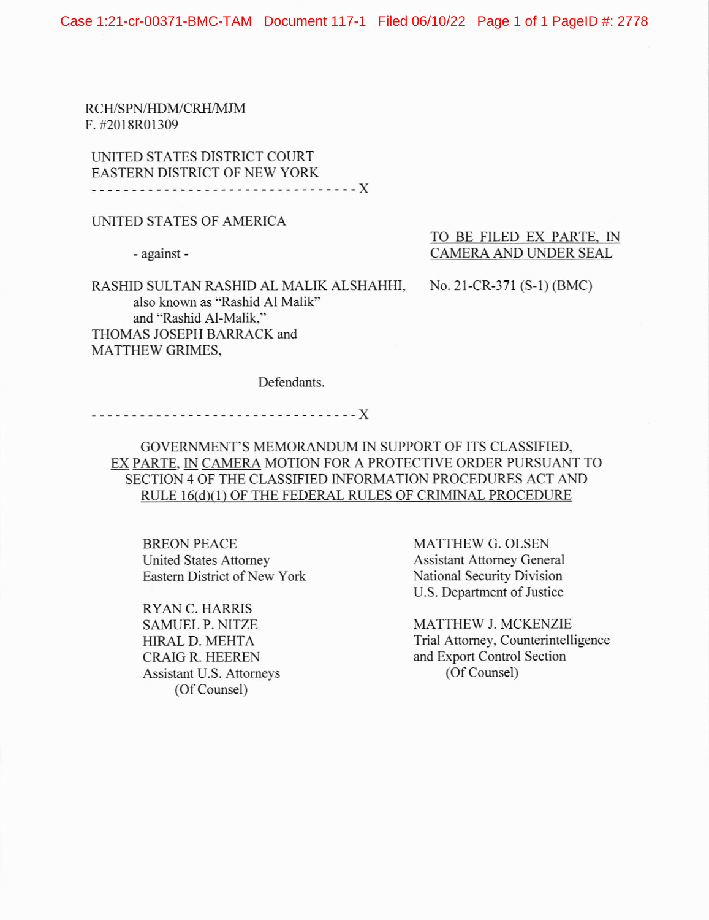RCH/SPN/HDM/CRH/MJM F. #2018R01309

UNITED STATES DISTRICT COURT EASTERN DISTRICT OF NEW YORK ----------------------------------X

### LINITED STATES OF AMERICA

RASHID SULTAN RASHID AL MALIK ALSHAHHI, also known as "Rashid Al Malik" and "Rashid Al-Malik," THOMAS JOSEPH BARRACK and MATTHEW GRIMES,

- against - CAMERA AND UNDER SEAL TO BE FILED EX PARTE. IN

No. 2l-CR-371 (S-l) (BMC)

Defendants.

x

GOVERNMENT'S MEMORANDUM IN SUPPORT OF ITS CLASSIFIED, EX PARTE, IN CAMERA MOTION FOR A PROTECTIVE ORDER PURSUANT TO SECTION 4 OF THE CLASSIFIED INFORMATION PROCEDURES ACT AND RULE 16(d)(1) OF THE FEDERAL RULES OF CRIMINAL PROCEDURE

BREON PEACE United States Attomey Eastern District of New York

RYAN C. HARRIS SAMUEL P. NITZE HIRALD. MEHTA CRAIG R. IIEEREN Assistant U.S. Attomeys (Of Counsel)

MATTHEW G. OLSEN Assistant Attomey General National Security Division U.S. Department of Justice

MATTHEW J. MCKENZIE Trial Attomey, Counterintelligence and Export Control Section (Of Counsel)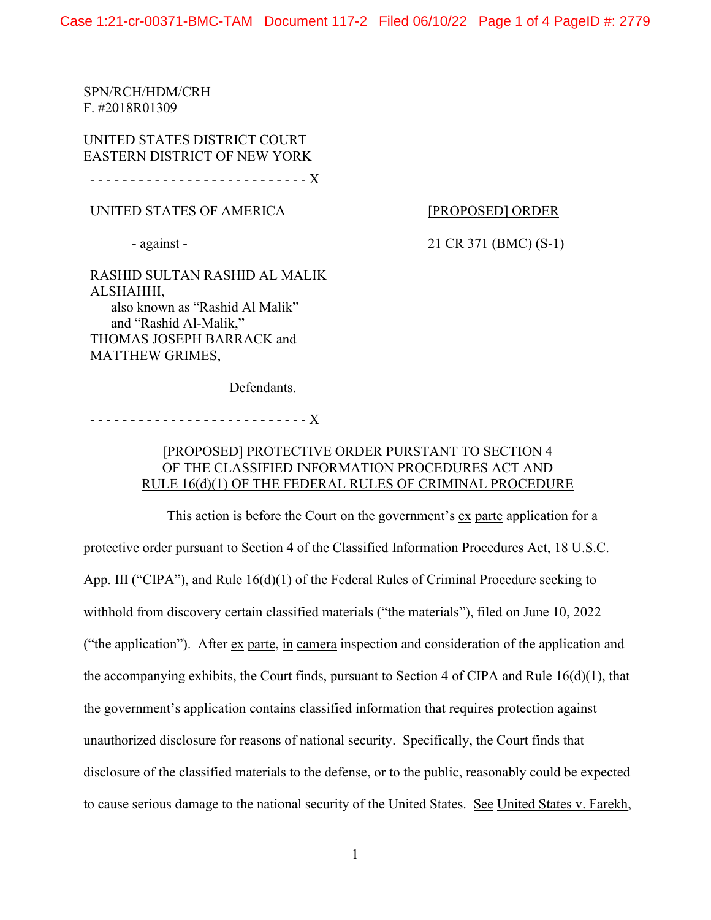SPN/RCH/HDM/CRH F. #2018R01309

UNITED STATES DISTRICT COURT EASTERN DISTRICT OF NEW YORK

- - - - - - - - - - - - - - - - - - - - - - - - - - - X

UNITED STATES OF AMERICA

#### [PROPOSED] ORDER

- against -

21 CR 371 (BMC) (S-1)

RASHID SULTAN RASHID AL MALIK ALSHAHHI, also known as "Rashid Al Malik" and "Rashid Al-Malik," THOMAS JOSEPH BARRACK and MATTHEW GRIMES,

Defendants.

- - - - - - - - - - - - - - - - - - - - - - - - - - - X

# [PROPOSED] PROTECTIVE ORDER PURSTANT TO SECTION 4 OF THE CLASSIFIED INFORMATION PROCEDURES ACT AND RULE 16(d)(1) OF THE FEDERAL RULES OF CRIMINAL PROCEDURE

This action is before the Court on the government's ex parte application for a protective order pursuant to Section 4 of the Classified Information Procedures Act, 18 U.S.C. App. III ("CIPA"), and Rule 16(d)(1) of the Federal Rules of Criminal Procedure seeking to withhold from discovery certain classified materials ("the materials"), filed on June 10, 2022 ("the application"). After ex parte, in camera inspection and consideration of the application and the accompanying exhibits, the Court finds, pursuant to Section 4 of CIPA and Rule 16(d)(1), that the government's application contains classified information that requires protection against unauthorized disclosure for reasons of national security. Specifically, the Court finds that disclosure of the classified materials to the defense, or to the public, reasonably could be expected to cause serious damage to the national security of the United States. See United States v. Farekh,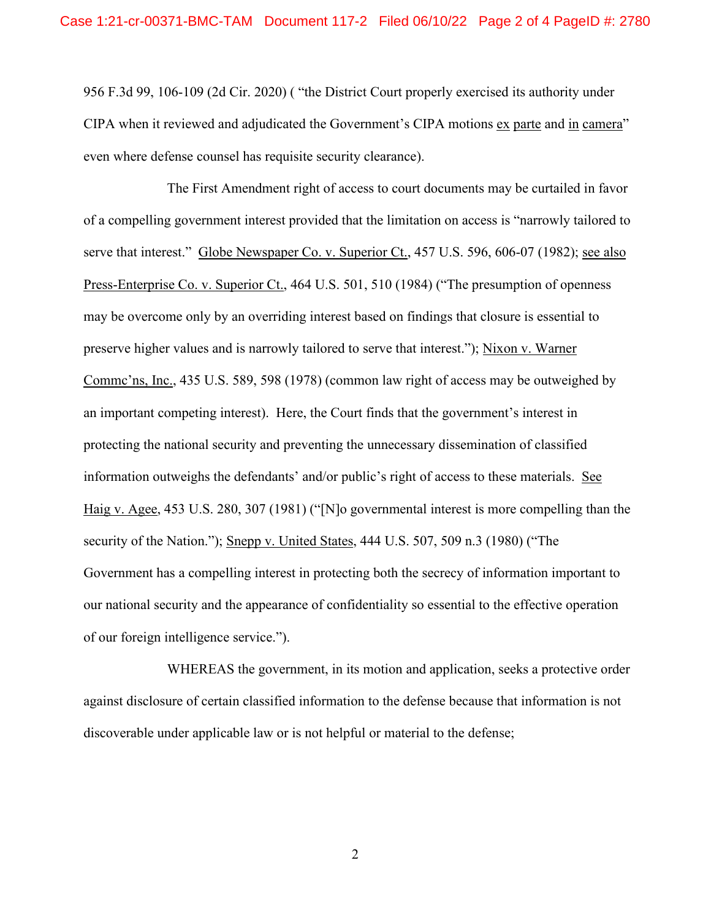956 F.3d 99, 106-109 (2d Cir. 2020) ( "the District Court properly exercised its authority under CIPA when it reviewed and adjudicated the Government's CIPA motions ex parte and in camera" even where defense counsel has requisite security clearance).

 The First Amendment right of access to court documents may be curtailed in favor of a compelling government interest provided that the limitation on access is "narrowly tailored to serve that interest." Globe Newspaper Co. v. Superior Ct., 457 U.S. 596, 606-07 (1982); see also Press-Enterprise Co. v. Superior Ct., 464 U.S. 501, 510 (1984) ("The presumption of openness may be overcome only by an overriding interest based on findings that closure is essential to preserve higher values and is narrowly tailored to serve that interest."); Nixon v. Warner Commc'ns, Inc., 435 U.S. 589, 598 (1978) (common law right of access may be outweighed by an important competing interest). Here, the Court finds that the government's interest in protecting the national security and preventing the unnecessary dissemination of classified information outweighs the defendants' and/or public's right of access to these materials. See Haig v. Agee, 453 U.S. 280, 307 (1981) ("[N]o governmental interest is more compelling than the security of the Nation."); Snepp v. United States, 444 U.S. 507, 509 n.3 (1980) ("The Government has a compelling interest in protecting both the secrecy of information important to our national security and the appearance of confidentiality so essential to the effective operation of our foreign intelligence service.").

 WHEREAS the government, in its motion and application, seeks a protective order against disclosure of certain classified information to the defense because that information is not discoverable under applicable law or is not helpful or material to the defense;

2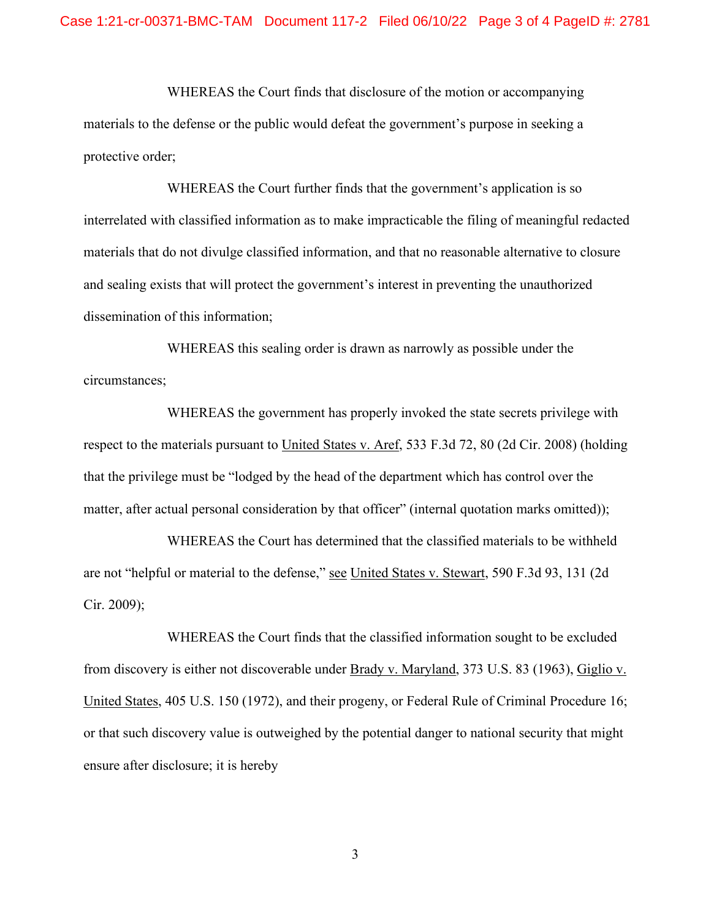WHEREAS the Court finds that disclosure of the motion or accompanying materials to the defense or the public would defeat the government's purpose in seeking a protective order;

WHEREAS the Court further finds that the government's application is so interrelated with classified information as to make impracticable the filing of meaningful redacted materials that do not divulge classified information, and that no reasonable alternative to closure and sealing exists that will protect the government's interest in preventing the unauthorized dissemination of this information;

WHEREAS this sealing order is drawn as narrowly as possible under the circumstances;

 WHEREAS the government has properly invoked the state secrets privilege with respect to the materials pursuant to United States v. Aref, 533 F.3d 72, 80 (2d Cir. 2008) (holding that the privilege must be "lodged by the head of the department which has control over the matter, after actual personal consideration by that officer" (internal quotation marks omitted));

 WHEREAS the Court has determined that the classified materials to be withheld are not "helpful or material to the defense," see United States v. Stewart, 590 F.3d 93, 131 (2d Cir. 2009);

 WHEREAS the Court finds that the classified information sought to be excluded from discovery is either not discoverable under Brady v. Maryland, 373 U.S. 83 (1963), Giglio v. United States, 405 U.S. 150 (1972), and their progeny, or Federal Rule of Criminal Procedure 16; or that such discovery value is outweighed by the potential danger to national security that might ensure after disclosure; it is hereby

3